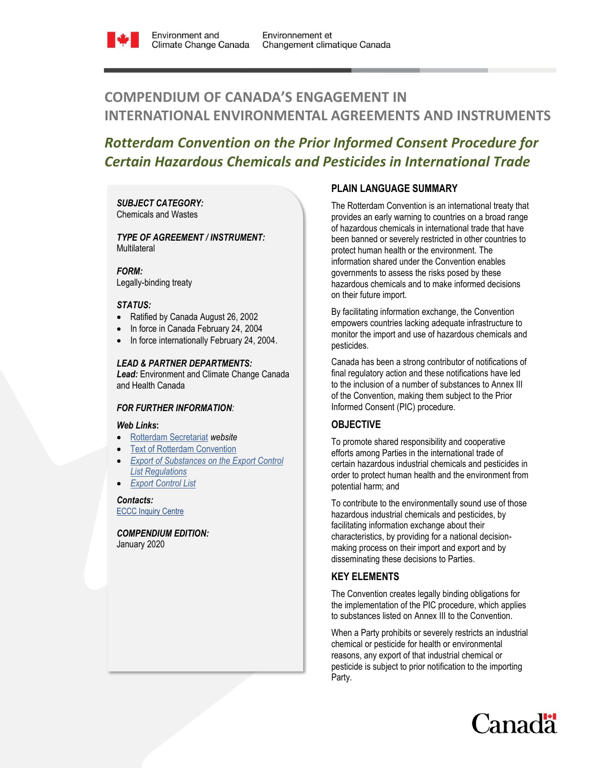

# **COMPENDIUM OF CANADA'S ENGAGEMENT IN INTERNATIONAL ENVIRONMENTAL AGREEMENTS AND INSTRUMENTS**

# *Rotterdam Convention on the Prior Informed Consent Procedure for Certain Hazardous Chemicals and Pesticides in International Trade*

#### *SUBJECT CATEGORY:*  Chemicals and Wastes

#### *TYPE OF AGREEMENT / INSTRUMENT:*  **Multilateral**

*FORM:* Legally-binding treaty

### *STATUS:*

- Ratified by Canada August 26, 2002
- In force in Canada February 24, 2004
- In force internationally February 24, 2004.

### *LEAD & PARTNER DEPARTMENTS:*

*Lead:* Environment and Climate Change Canada and Health Canada

## *FOR FURTHER INFORMATION:*

#### *Web Links***:**

- [Rotterdam Secretariat](http://www.pic.int/Home/tabid/855/language/en-US/Default.aspx) *website*
- [Text of Rotterdam Convention](http://www.pic.int/TheConvention/Overview/TextoftheConvention/tabid/1048/language/en-US/Default.aspx)
- *[Export of Substances on the Export Control](http://laws-lois.justice.gc.ca/eng/regulations/SOR-2013-88/FullText.html)  [List Regulations](http://laws-lois.justice.gc.ca/eng/regulations/SOR-2013-88/FullText.html)*
- *[Export Control List](https://laws-lois.justice.gc.ca/eng/acts/c-15.31/page-53.html)*

*Contacts:* ECCC [Inquiry Centre](https://www.ec.gc.ca/default.asp?lang=En&n=DA294545-1)

*COMPENDIUM EDITION:* January 2020

# **PLAIN LANGUAGE SUMMARY**

The Rotterdam Convention is an international treaty that provides an early warning to countries on a broad range of hazardous chemicals in international trade that have been banned or severely restricted in other countries to protect human health or the environment. The information shared under the Convention enables governments to assess the risks posed by these hazardous chemicals and to make informed decisions on their future import.

By facilitating information exchange, the Convention empowers countries lacking adequate infrastructure to monitor the import and use of hazardous chemicals and pesticides.

Canada has been a strong contributor of notifications of final regulatory action and these notifications have led to the inclusion of a number of substances to Annex III of the Convention, making them subject to the Prior Informed Consent (PIC) procedure.

# **OBJECTIVE**

To promote shared responsibility and cooperative efforts among Parties in the international trade of certain hazardous industrial chemicals and pesticides in order to protect human health and the environment from potential harm; and

To contribute to the environmentally sound use of those hazardous industrial chemicals and pesticides, by facilitating information exchange about their characteristics, by providing for a national decisionmaking process on their import and export and by disseminating these decisions to Parties.

# **KEY ELEMENTS**

The Convention creates legally binding obligations for the implementation of the PIC procedure, which applies to substances listed on Annex III to the Convention.

When a Party prohibits or severely restricts an industrial chemical or pesticide for health or environmental reasons, any export of that industrial chemical or pesticide is subject to prior notification to the importing Party.